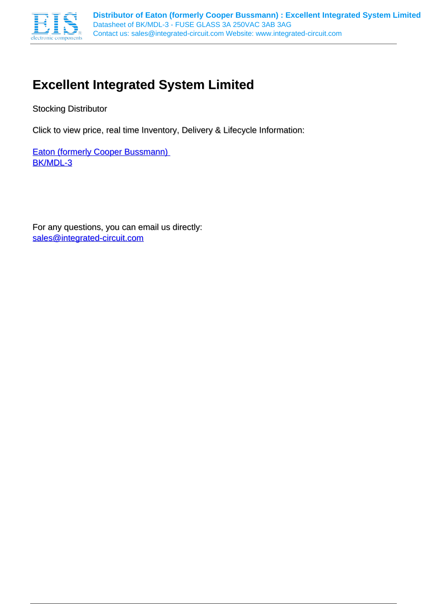

# **Excellent Integrated System Limited**

Stocking Distributor

Click to view price, real time Inventory, Delivery & Lifecycle Information:

**Eaton (formerly Cooper Bussmann)** [BK/MDL-3](http://www.integrated-circuit.com/tag/BK/MDL-3.html)

For any questions, you can email us directly: [sales@integrated-circuit.com](mailto:sales@integrated-circuit.com)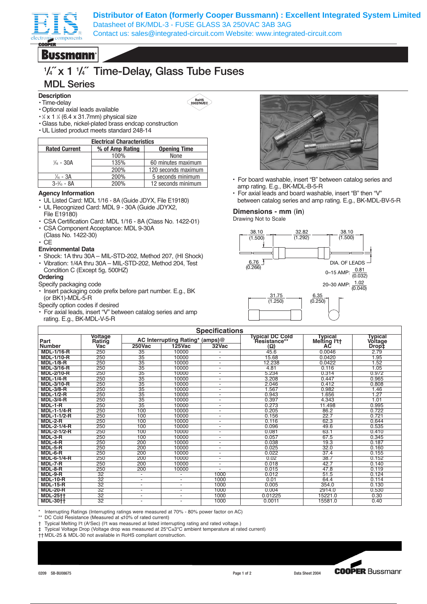

**Distributor of Eaton (formerly Cooper Bussmann) : Excellent Integrated System Limited** Datasheet of BK/MDL-3 - FUSE GLASS 3A 250VAC 3AB 3AG Contact us: sales@integrated-circuit.com Website: www.integrated-circuit.com

**Bussmann** 

## **1 /4˝ x 1 1 /4˝ Time-Delay, Glass Tube Fuses**

### **MDL Series**

- **Description**
- Time-delay
- Optional axial leads available
- $\cdot$  / x 1 / (6.4 x 31.7mm) physical size
- Glass tube, nickel-plated brass endcap construction
- UL Listed product meets standard 248-14

| <b>Electrical Characteristics</b> |                                        |                     |  |  |  |
|-----------------------------------|----------------------------------------|---------------------|--|--|--|
| <b>Rated Current</b>              | % of Amp Rating<br><b>Opening Time</b> |                     |  |  |  |
|                                   | 100%                                   | None                |  |  |  |
| $\frac{1}{16}$ - 30A              | 135%                                   | 60 minutes maximum  |  |  |  |
|                                   | 200%                                   | 120 seconds maximum |  |  |  |
| $\frac{1}{16}$ - 3A               | 200%                                   | 5 seconds minimum   |  |  |  |
| $3 - \frac{2}{10} - 8A$           | 200%                                   | 12 seconds minimum  |  |  |  |

#### **Agency Information**

- UL Listed Card: MDL 1/16 8A (Guide JDYX, File E19180)
- UL Recognized Card: MDL 9 30A (Guide JDYX2, File E19180)
- CSA Certification Card: MDL 1/16 8A (Class No. 1422-01)
- CSA Component Acceptance: MDL 9-30A (Class No. 1422-30)
- CE
- **Environmental Data**
- Shock: 1A thru 30A MIL-STD-202, Method 207, (HI Shock)
- Vibration: 1/4A thru 30A MIL-STD-202, Method 204, Test Condition C (Except 5g, 500HZ)

#### **Ordering**

Specify packaging code

- Insert packaging code prefix before part number. E.g., BK (or BK1)-MDL-5-R
- Specify option codes if desired
- For axial leads, insert "V" between catalog series and amp rating. E.g., BK-MDL-V-5-R



- For board washable, insert "B" between catalog series and amp rating. E.g., BK-MDL-B-5-R
- For axial leads and board washable, insert "B" then "V" between catalog series and amp rating. E.g., BK-MDL-BV-5-R

### **Dimensions - mm** (**in**)

Drawing Not to Scale



| <b>Specifications</b> |                          |                          |                                 |                              |                                               |                            |                           |
|-----------------------|--------------------------|--------------------------|---------------------------------|------------------------------|-----------------------------------------------|----------------------------|---------------------------|
| Part                  | <b>Voltage</b><br>Rating |                          | AC Interrupting Rating* (amps)@ |                              | <b>Typical DC Cold</b><br><b>Resistance**</b> | Typical<br>Meiting $l2$ tt | <b>Typical</b><br>Voltage |
| <b>Number</b>         | Vac                      | <b>250Vac</b>            | <b>125Vac</b>                   | 32Vac                        | (Ω)                                           | АC                         | Drop‡                     |
| <b>MDL-1/16-R</b>     | 250                      | 35                       | 10000                           |                              | 45.6                                          | 0.0046                     | 2.79                      |
| <b>MDL-1/10-R</b>     | 250                      | 35                       | 10000                           | $\overline{\phantom{0}}$     | 15.68                                         | 0.0420                     | 1.95                      |
| <b>MDL-1/8-R</b>      | 250                      | 35                       | 10000                           |                              | 12.238                                        | 0.0422                     | 1.52                      |
| <b>MDL-3/16-R</b>     | 250                      | 35                       | 10000                           | $\overline{\phantom{0}}$     | 4.81                                          | 0.116                      | 1.05                      |
| <b>MDL-2/10-R</b>     | 250                      | 35                       | 10000                           | $\overline{\phantom{0}}$     | 5.234                                         | 0.314                      | 0.972                     |
| <b>MDL-1/4-R</b>      | 250                      | 35                       | 10000                           | $\blacksquare$               | 3.208                                         | 0.447                      | 0.965                     |
| <b>MDL-3/10-R</b>     | 250                      | $\overline{35}$          | 10000                           | $\overline{a}$               | 2.046                                         | 0.412                      | 0.808                     |
| <b>MDL-3/8-R</b>      | 250                      | 35                       | 10000                           | $\overline{a}$               | 1.567                                         | 0.982                      | 1.46                      |
| $MDL-1/2-R$           | 250                      | 35                       | 10000                           | $\overline{a}$               | 0.943                                         | .656                       | 1.27                      |
| <b>MDL-3/4-R</b>      | 250                      | $\overline{35}$          | 10000                           | $\overline{\phantom{0}}$     | 0.397                                         | 4.343                      | 1.01                      |
| MDL-1-R               | 250                      | $\overline{35}$          | 10000                           | $\overline{a}$               | 0.273                                         | 11.498                     | 0.995                     |
| <b>MDL-1-1/4-R</b>    | 250                      | 100                      | 10000                           | $\qquad \qquad \blacksquare$ | 0.205                                         | 86.2                       | 0.722                     |
| <b>MDL-1-1/2-R</b>    | 250                      | 100                      | 10000                           | $\overline{a}$               | 0.156                                         | 22.7                       | 0.721                     |
| $MDL-2-R$             | 250                      | 100                      | 10000                           | $\overline{a}$               | 0.116                                         | 62.3                       | 0.644                     |
| <b>MDL-2-1/4-R</b>    | 250                      | 100                      | 10000                           | $\overline{a}$               | 0.096                                         | 49.6                       | 0.535                     |
| <b>MDL-2-1/2-R</b>    | 250                      | 100                      | 10000                           | $\overline{\phantom{0}}$     | 0.081                                         | 63.1                       | 0.410                     |
| MDL-3-R               | 250                      | 100                      | 10000                           | $\overline{a}$               | 0.057                                         | 67.5                       | 0.345                     |
| $MDL-4-R$             | 250                      | 200                      | 10000                           | $\overline{a}$               | 0.038                                         | 19.3                       | 0.187                     |
| $MDL-5-R$             | 250                      | 200                      | 10000                           | $\overline{a}$               | 0.025                                         | 32.0                       | 0.160                     |
| $MDL-6-R$             | 250                      | 200                      | 10000                           | $\overline{a}$               | 0.022                                         | 37.4                       | 0.155                     |
| <b>MDL-6-1/4-R</b>    | 250                      | 200                      | 10000                           | $\overline{a}$               | 0.02                                          | 38.7                       | 0.152                     |
| $MDL-7-R$             | 250                      | 200                      | 10000                           | $\overline{a}$               | 0.018                                         | 42.7                       | 0.140                     |
| $MDL-8-R$             | 250                      | 200                      | 10000                           |                              | 0.015                                         | 47.8                       | 0.119                     |
| MDL-9-R               | 32                       | $\overline{\phantom{0}}$ | $\overline{a}$                  | 1000                         | 0.012                                         | 51.5                       | 0.124                     |
| <b>MDL-10-R</b>       | $\overline{32}$          | $\overline{\phantom{a}}$ | $\overline{a}$                  | 1000                         | 0.01                                          | 64.4                       | 0.114                     |
| <b>MDL-15-R</b>       | $\overline{32}$          | $\blacksquare$           | $\overline{a}$                  | 1000                         | 0.005                                         | 354.0                      | 0.130                     |
| <b>MDL-20-R</b>       | $\overline{32}$          | $\blacksquare$           | $\overline{\phantom{a}}$        | 1000                         | 0.004                                         | 2914.0                     | 0.530                     |
| <b>MDL-25++</b>       | 32                       | $\blacksquare$           | $\overline{\phantom{0}}$        | 1000                         | 0.01225                                       | 15221.0                    | 0.30                      |
| <b>MDL-30++</b>       | $\overline{32}$          |                          | $\overline{a}$                  | 1000                         | 0.0011                                        | 15581.0                    | 0.40                      |

Interrupting Ratings (Interrupting ratings were measured at 70% - 80% power factor on AC)

DC Cold Resistance (Measured at ≤10% of rated current)

† Typical Melting I<sup>2</sup>t (A<sup>2</sup>Sec) (I<sup>2</sup>t was measured at listed interrupting rating and rated voltage.)

‡ Typical Voltage Drop (Voltage drop was measured at 25°C±3°C ambient temperature at rated current)

†† MDL-25 & MDL-30 not available in RoHS compliant construction.